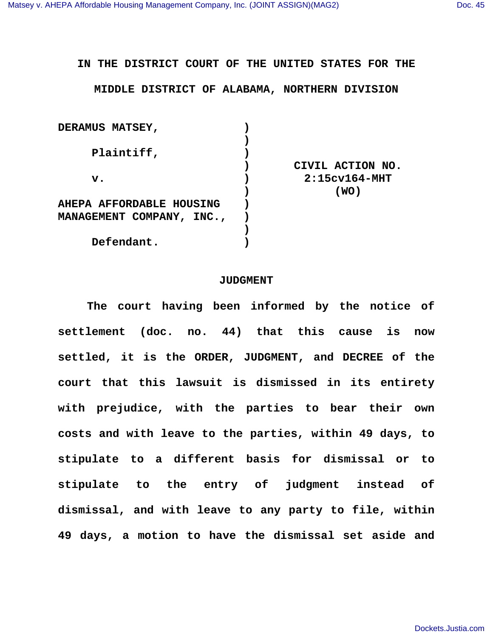## **IN THE DISTRICT COURT OF THE UNITED STATES FOR THE**

## **MIDDLE DISTRICT OF ALABAMA, NORTHERN DIVISION**

| <b>DERAMUS MATSEY,</b>          |                  |
|---------------------------------|------------------|
|                                 |                  |
| Plaintiff,                      |                  |
|                                 | CIVIL ACTION NO. |
| $\mathbf{v}$ .                  | $2:15cv164-MHT$  |
|                                 | (WO)             |
| <b>AHEPA AFFORDABLE HOUSING</b> |                  |
| MANAGEMENT COMPANY, INC.,       |                  |
|                                 |                  |
| Defendant.                      |                  |
|                                 |                  |

## **JUDGMENT**

 **The court having been informed by the notice of settlement (doc. no. 44) that this cause is now settled, it is the ORDER, JUDGMENT, and DECREE of the court that this lawsuit is dismissed in its entirety with prejudice, with the parties to bear their own costs and with leave to the parties, within 49 days, to stipulate to a different basis for dismissal or to stipulate to the entry of judgment instead of dismissal, and with leave to any party to file, within 49 days, a motion to have the dismissal set aside and**